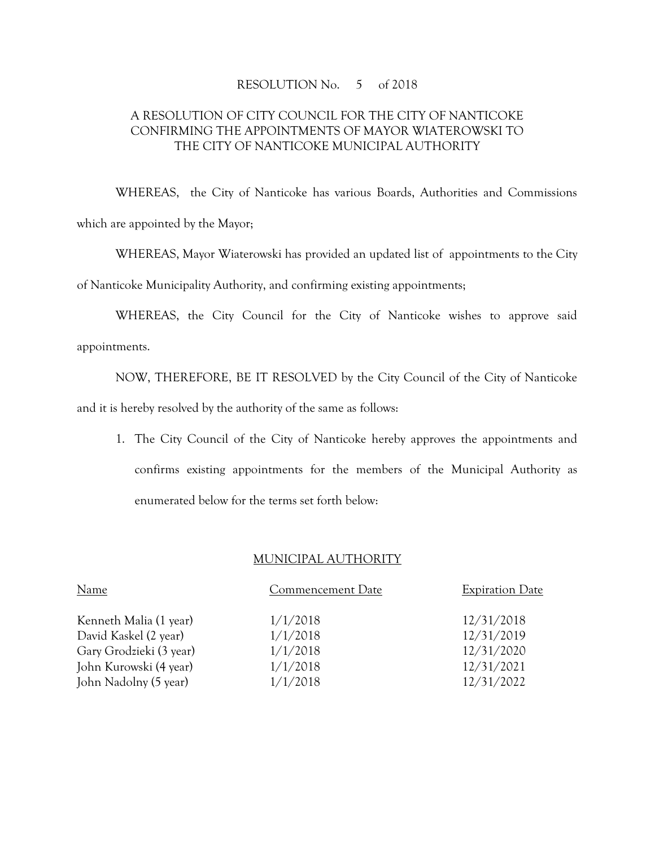## RESOLUTION No. 5 of 2018

## A RESOLUTION OF CITY COUNCIL FOR THE CITY OF NANTICOKE CONFIRMING THE APPOINTMENTS OF MAYOR WIATEROWSKI TO THE CITY OF NANTICOKE MUNICIPAL AUTHORITY

WHEREAS, the City of Nanticoke has various Boards, Authorities and Commissions which are appointed by the Mayor;

WHEREAS, Mayor Wiaterowski has provided an updated list of appointments to the City of Nanticoke Municipality Authority, and confirming existing appointments;

WHEREAS, the City Council for the City of Nanticoke wishes to approve said appointments.

NOW, THEREFORE, BE IT RESOLVED by the City Council of the City of Nanticoke and it is hereby resolved by the authority of the same as follows:

1. The City Council of the City of Nanticoke hereby approves the appointments and confirms existing appointments for the members of the Municipal Authority as enumerated below for the terms set forth below:

## MUNICIPAL AUTHORITY

| Name                    | Commencement Date | <b>Expiration Date</b> |
|-------------------------|-------------------|------------------------|
| Kenneth Malia (1 year)  | 1/1/2018          | 12/31/2018             |
| David Kaskel (2 year)   | 1/1/2018          | 12/31/2019             |
| Gary Grodzieki (3 year) | 1/1/2018          | 12/31/2020             |
| John Kurowski (4 year)  | 1/1/2018          | 12/31/2021             |
| John Nadolny (5 year)   | 1/1/2018          | 12/31/2022             |
|                         |                   |                        |